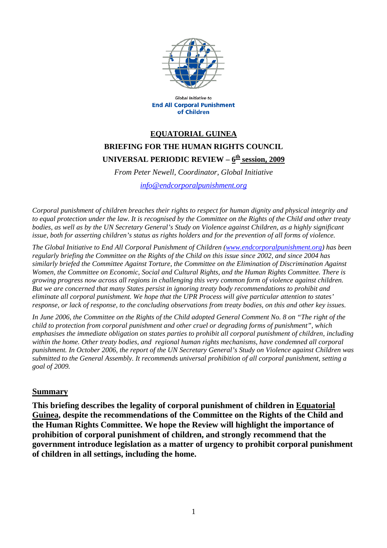

**Global Initiative to End All Corporal Punishment** of Children

## **EQUATORIAL GUINEA BRIEFING FOR THE HUMAN RIGHTS COUNCIL**  UNIVERSAL PERIODIC REVIEW – 6<sup>th</sup> session, 2009

*From Peter Newell, Coordinator, Global Initiative* 

*[info@endcorporalpunishment.org](mailto:info@endcorporalpunishment.org)*

*Corporal punishment of children breaches their rights to respect for human dignity and physical integrity and to equal protection under the law. It is recognised by the Committee on the Rights of the Child and other treaty*  bodies, as well as by the UN Secretary General's Study on Violence against Children, as a highly significant *issue, both for asserting children's status as rights holders and for the prevention of all forms of violence.* 

*The Global Initiative to End All Corporal Punishment of Children [\(www.endcorporalpunishment.org](http://www.endcorporalpunishment.org/)) has been regularly briefing the Committee on the Rights of the Child on this issue since 2002, and since 2004 has similarly briefed the Committee Against Torture, the Committee on the Elimination of Discrimination Against Women, the Committee on Economic, Social and Cultural Rights, and the Human Rights Committee. There is growing progress now across all regions in challenging this very common form of violence against children. But we are concerned that many States persist in ignoring treaty body recommendations to prohibit and eliminate all corporal punishment. We hope that the UPR Process will give particular attention to states' response, or lack of response, to the concluding observations from treaty bodies, on this and other key issues.* 

*In June 2006, the Committee on the Rights of the Child adopted General Comment No. 8 on "The right of the child to protection from corporal punishment and other cruel or degrading forms of punishment", which emphasises the immediate obligation on states parties to prohibit all corporal punishment of children, including within the home. Other treaty bodies, and regional human rights mechanisms, have condemned all corporal punishment. In October 2006, the report of the UN Secretary General's Study on Violence against Children was submitted to the General Assembly. It recommends universal prohibition of all corporal punishment, setting a goal of 2009.*

## **Summary**

**This briefing describes the legality of corporal punishment of children in Equatorial Guinea, despite the recommendations of the Committee on the Rights of the Child and the Human Rights Committee. We hope the Review will highlight the importance of prohibition of corporal punishment of children, and strongly recommend that the government introduce legislation as a matter of urgency to prohibit corporal punishment of children in all settings, including the home.**